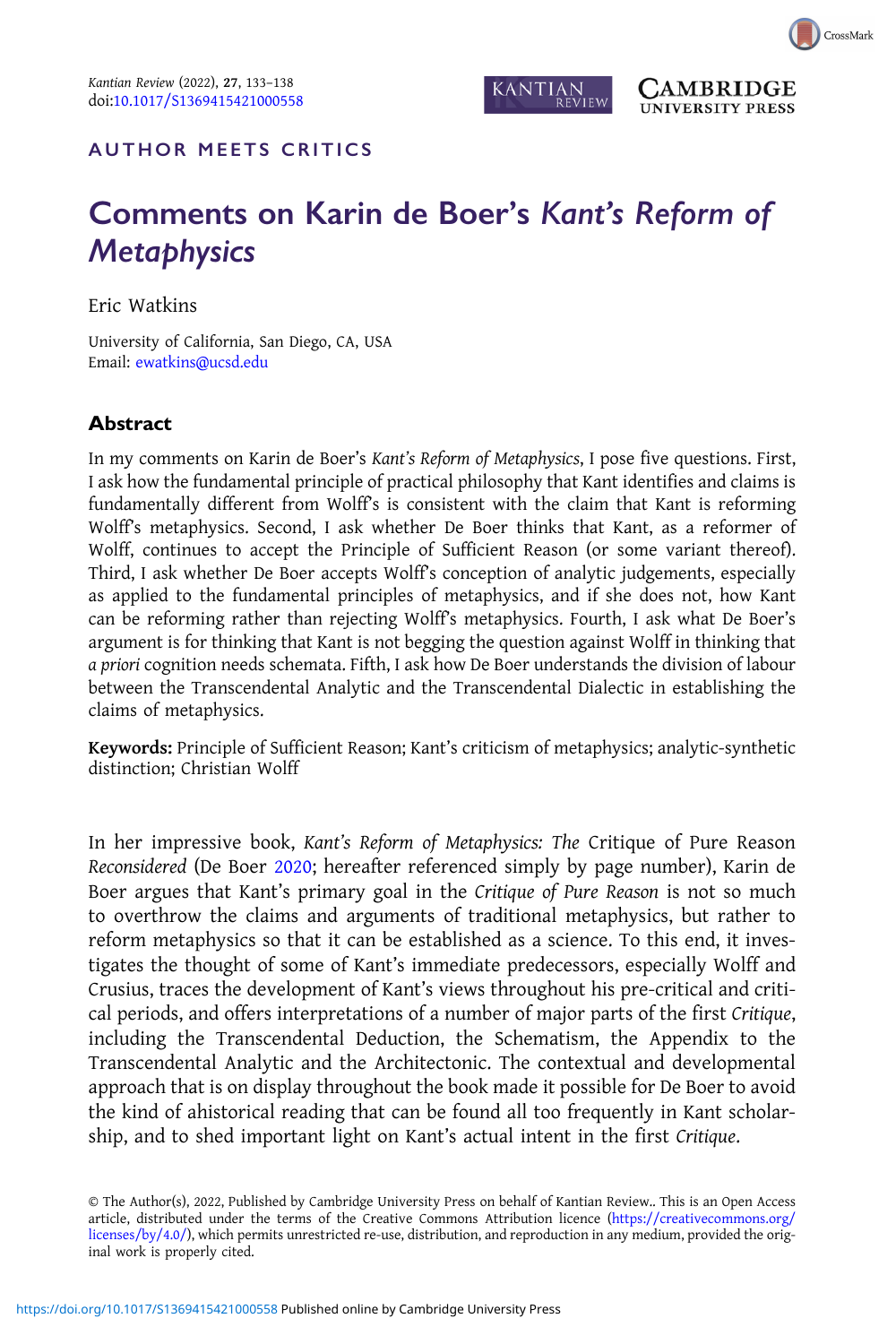

**`AMBRIDGE UNIVERSITY PRESS** 

## AUTHOR MEETS CRITICS

## Comments on Karin de Boer's Kant's Reform of **Metaphysics**

Eric Watkins

University of California, San Diego, CA, USA Email: [ewatkins@ucsd.edu](mailto:ewatkins@ucsd.edu)

## Abstract

In my comments on Karin de Boer's Kant's Reform of Metaphysics, I pose five questions. First, I ask how the fundamental principle of practical philosophy that Kant identifies and claims is fundamentally different from Wolff's is consistent with the claim that Kant is reforming Wolff's metaphysics. Second, I ask whether De Boer thinks that Kant, as a reformer of Wolff, continues to accept the Principle of Sufficient Reason (or some variant thereof). Third, I ask whether De Boer accepts Wolff's conception of analytic judgements, especially as applied to the fundamental principles of metaphysics, and if she does not, how Kant can be reforming rather than rejecting Wolff's metaphysics. Fourth, I ask what De Boer's argument is for thinking that Kant is not begging the question against Wolff in thinking that a priori cognition needs schemata. Fifth, I ask how De Boer understands the division of labour between the Transcendental Analytic and the Transcendental Dialectic in establishing the claims of metaphysics.

Keywords: Principle of Sufficient Reason; Kant's criticism of metaphysics; analytic-synthetic distinction; Christian Wolff

In her impressive book, Kant's Reform of Metaphysics: The Critique of Pure Reason Reconsidered (De Boer [2020](#page-5-0); hereafter referenced simply by page number), Karin de Boer argues that Kant's primary goal in the Critique of Pure Reason is not so much to overthrow the claims and arguments of traditional metaphysics, but rather to reform metaphysics so that it can be established as a science. To this end, it investigates the thought of some of Kant's immediate predecessors, especially Wolff and Crusius, traces the development of Kant's views throughout his pre-critical and critical periods, and offers interpretations of a number of major parts of the first Critique, including the Transcendental Deduction, the Schematism, the Appendix to the Transcendental Analytic and the Architectonic. The contextual and developmental approach that is on display throughout the book made it possible for De Boer to avoid the kind of ahistorical reading that can be found all too frequently in Kant scholarship, and to shed important light on Kant's actual intent in the first Critique.

© The Author(s), 2022, Published by Cambridge University Press on behalf of Kantian Review.. This is an Open Access article, distributed under the terms of the Creative Commons Attribution licence [\(https://creativecommons.org/](https://creativecommons.org/licenses/by/4.0/) [licenses/by/4.0/\)](https://creativecommons.org/licenses/by/4.0/), which permits unrestricted re-use, distribution, and reproduction in any medium, provided the original work is properly cited.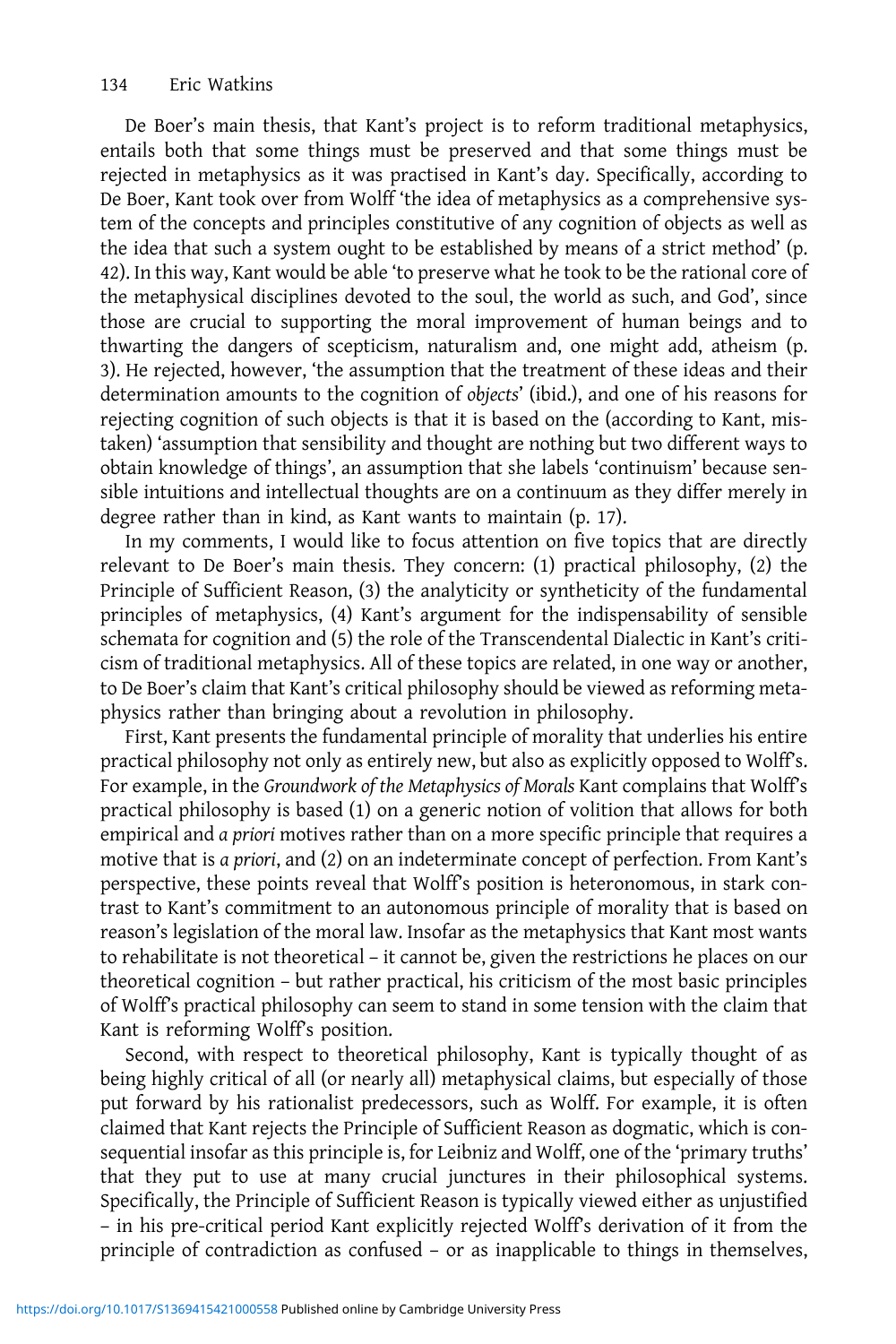De Boer's main thesis, that Kant's project is to reform traditional metaphysics, entails both that some things must be preserved and that some things must be rejected in metaphysics as it was practised in Kant's day. Specifically, according to De Boer, Kant took over from Wolff 'the idea of metaphysics as a comprehensive system of the concepts and principles constitutive of any cognition of objects as well as the idea that such a system ought to be established by means of a strict method' (p. 42). In this way, Kant would be able 'to preserve what he took to be the rational core of the metaphysical disciplines devoted to the soul, the world as such, and God', since those are crucial to supporting the moral improvement of human beings and to thwarting the dangers of scepticism, naturalism and, one might add, atheism (p. 3). He rejected, however, 'the assumption that the treatment of these ideas and their determination amounts to the cognition of objects' (ibid.), and one of his reasons for rejecting cognition of such objects is that it is based on the (according to Kant, mistaken) 'assumption that sensibility and thought are nothing but two different ways to obtain knowledge of things', an assumption that she labels 'continuism' because sensible intuitions and intellectual thoughts are on a continuum as they differ merely in degree rather than in kind, as Kant wants to maintain (p. 17).

In my comments, I would like to focus attention on five topics that are directly relevant to De Boer's main thesis. They concern: (1) practical philosophy, (2) the Principle of Sufficient Reason, (3) the analyticity or syntheticity of the fundamental principles of metaphysics, (4) Kant's argument for the indispensability of sensible schemata for cognition and (5) the role of the Transcendental Dialectic in Kant's criticism of traditional metaphysics. All of these topics are related, in one way or another, to De Boer's claim that Kant's critical philosophy should be viewed as reforming metaphysics rather than bringing about a revolution in philosophy.

First, Kant presents the fundamental principle of morality that underlies his entire practical philosophy not only as entirely new, but also as explicitly opposed to Wolff's. For example, in the Groundwork of the Metaphysics of Morals Kant complains that Wolff's practical philosophy is based (1) on a generic notion of volition that allows for both empirical and a priori motives rather than on a more specific principle that requires a motive that is a priori, and (2) on an indeterminate concept of perfection. From Kant's perspective, these points reveal that Wolff's position is heteronomous, in stark contrast to Kant's commitment to an autonomous principle of morality that is based on reason's legislation of the moral law. Insofar as the metaphysics that Kant most wants to rehabilitate is not theoretical – it cannot be, given the restrictions he places on our theoretical cognition – but rather practical, his criticism of the most basic principles of Wolff's practical philosophy can seem to stand in some tension with the claim that Kant is reforming Wolff's position.

Second, with respect to theoretical philosophy, Kant is typically thought of as being highly critical of all (or nearly all) metaphysical claims, but especially of those put forward by his rationalist predecessors, such as Wolff. For example, it is often claimed that Kant rejects the Principle of Sufficient Reason as dogmatic, which is consequential insofar as this principle is, for Leibniz and Wolff, one of the 'primary truths' that they put to use at many crucial junctures in their philosophical systems. Specifically, the Principle of Sufficient Reason is typically viewed either as unjustified – in his pre-critical period Kant explicitly rejected Wolff's derivation of it from the principle of contradiction as confused – or as inapplicable to things in themselves,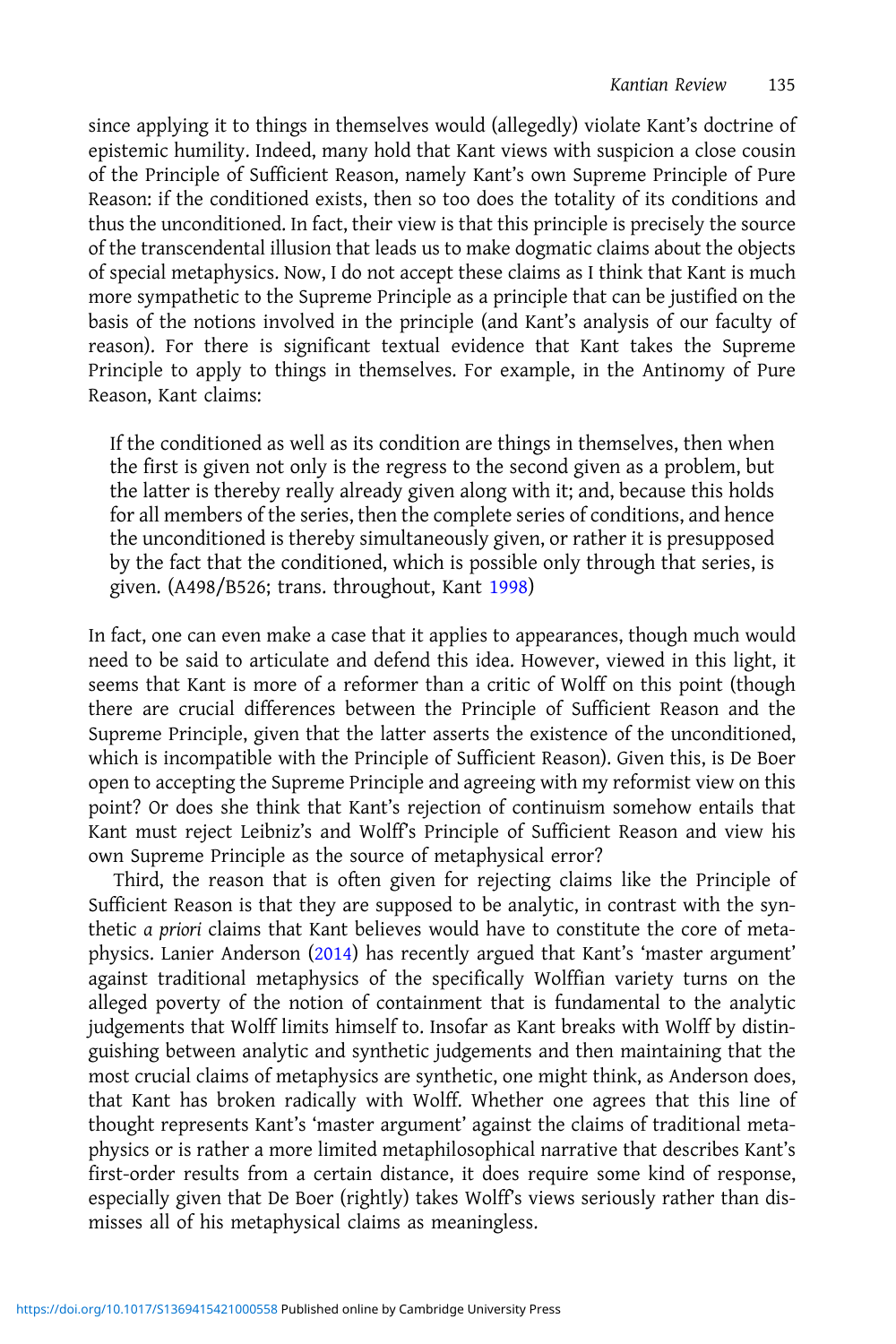since applying it to things in themselves would (allegedly) violate Kant's doctrine of epistemic humility. Indeed, many hold that Kant views with suspicion a close cousin of the Principle of Sufficient Reason, namely Kant's own Supreme Principle of Pure Reason: if the conditioned exists, then so too does the totality of its conditions and thus the unconditioned. In fact, their view is that this principle is precisely the source of the transcendental illusion that leads us to make dogmatic claims about the objects of special metaphysics. Now, I do not accept these claims as I think that Kant is much more sympathetic to the Supreme Principle as a principle that can be justified on the basis of the notions involved in the principle (and Kant's analysis of our faculty of reason). For there is significant textual evidence that Kant takes the Supreme Principle to apply to things in themselves. For example, in the Antinomy of Pure Reason, Kant claims:

If the conditioned as well as its condition are things in themselves, then when the first is given not only is the regress to the second given as a problem, but the latter is thereby really already given along with it; and, because this holds for all members of the series, then the complete series of conditions, and hence the unconditioned is thereby simultaneously given, or rather it is presupposed by the fact that the conditioned, which is possible only through that series, is given. (A498/B526; trans. throughout, Kant [1998\)](#page-5-0)

In fact, one can even make a case that it applies to appearances, though much would need to be said to articulate and defend this idea. However, viewed in this light, it seems that Kant is more of a reformer than a critic of Wolff on this point (though there are crucial differences between the Principle of Sufficient Reason and the Supreme Principle, given that the latter asserts the existence of the unconditioned, which is incompatible with the Principle of Sufficient Reason). Given this, is De Boer open to accepting the Supreme Principle and agreeing with my reformist view on this point? Or does she think that Kant's rejection of continuism somehow entails that Kant must reject Leibniz's and Wolff's Principle of Sufficient Reason and view his own Supreme Principle as the source of metaphysical error?

Third, the reason that is often given for rejecting claims like the Principle of Sufficient Reason is that they are supposed to be analytic, in contrast with the synthetic a priori claims that Kant believes would have to constitute the core of metaphysics. Lanier Anderson [\(2014](#page-5-0)) has recently argued that Kant's 'master argument' against traditional metaphysics of the specifically Wolffian variety turns on the alleged poverty of the notion of containment that is fundamental to the analytic judgements that Wolff limits himself to. Insofar as Kant breaks with Wolff by distinguishing between analytic and synthetic judgements and then maintaining that the most crucial claims of metaphysics are synthetic, one might think, as Anderson does, that Kant has broken radically with Wolff. Whether one agrees that this line of thought represents Kant's 'master argument' against the claims of traditional metaphysics or is rather a more limited metaphilosophical narrative that describes Kant's first-order results from a certain distance, it does require some kind of response, especially given that De Boer (rightly) takes Wolff's views seriously rather than dismisses all of his metaphysical claims as meaningless.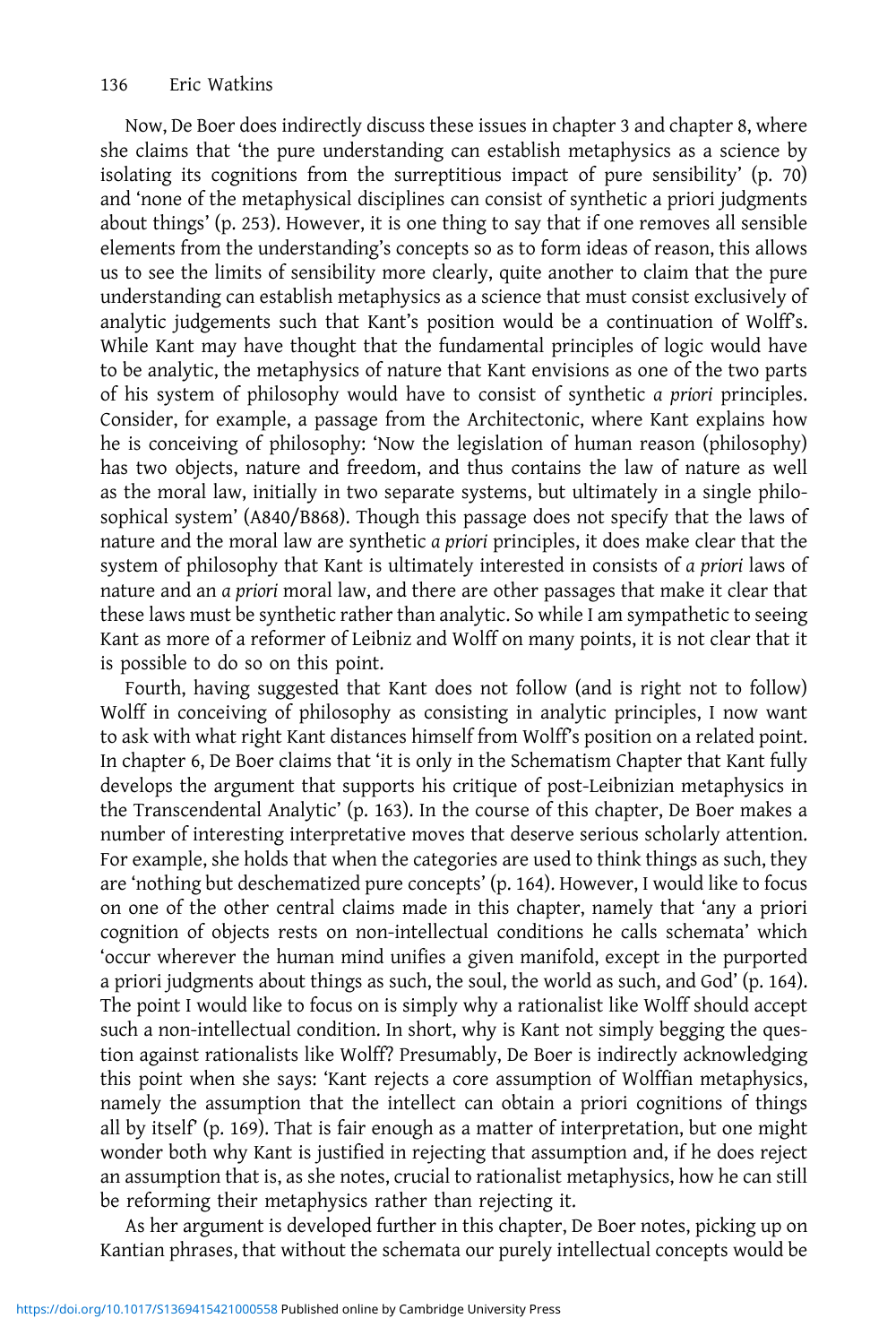Now, De Boer does indirectly discuss these issues in chapter 3 and chapter 8, where she claims that 'the pure understanding can establish metaphysics as a science by isolating its cognitions from the surreptitious impact of pure sensibility' (p. 70) and 'none of the metaphysical disciplines can consist of synthetic a priori judgments about things' (p. 253). However, it is one thing to say that if one removes all sensible elements from the understanding's concepts so as to form ideas of reason, this allows us to see the limits of sensibility more clearly, quite another to claim that the pure understanding can establish metaphysics as a science that must consist exclusively of analytic judgements such that Kant's position would be a continuation of Wolff's. While Kant may have thought that the fundamental principles of logic would have to be analytic, the metaphysics of nature that Kant envisions as one of the two parts of his system of philosophy would have to consist of synthetic a priori principles. Consider, for example, a passage from the Architectonic, where Kant explains how he is conceiving of philosophy: 'Now the legislation of human reason (philosophy) has two objects, nature and freedom, and thus contains the law of nature as well as the moral law, initially in two separate systems, but ultimately in a single philosophical system' (A840/B868). Though this passage does not specify that the laws of nature and the moral law are synthetic a priori principles, it does make clear that the system of philosophy that Kant is ultimately interested in consists of a priori laws of nature and an a priori moral law, and there are other passages that make it clear that these laws must be synthetic rather than analytic. So while I am sympathetic to seeing Kant as more of a reformer of Leibniz and Wolff on many points, it is not clear that it is possible to do so on this point.

Fourth, having suggested that Kant does not follow (and is right not to follow) Wolff in conceiving of philosophy as consisting in analytic principles, I now want to ask with what right Kant distances himself from Wolff's position on a related point. In chapter 6, De Boer claims that 'it is only in the Schematism Chapter that Kant fully develops the argument that supports his critique of post-Leibnizian metaphysics in the Transcendental Analytic' (p. 163). In the course of this chapter, De Boer makes a number of interesting interpretative moves that deserve serious scholarly attention. For example, she holds that when the categories are used to think things as such, they are 'nothing but deschematized pure concepts' (p. 164). However, I would like to focus on one of the other central claims made in this chapter, namely that 'any a priori cognition of objects rests on non-intellectual conditions he calls schemata' which 'occur wherever the human mind unifies a given manifold, except in the purported a priori judgments about things as such, the soul, the world as such, and God' (p. 164). The point I would like to focus on is simply why a rationalist like Wolff should accept such a non-intellectual condition. In short, why is Kant not simply begging the question against rationalists like Wolff? Presumably, De Boer is indirectly acknowledging this point when she says: 'Kant rejects a core assumption of Wolffian metaphysics, namely the assumption that the intellect can obtain a priori cognitions of things all by itself' (p. 169). That is fair enough as a matter of interpretation, but one might wonder both why Kant is justified in rejecting that assumption and, if he does reject an assumption that is, as she notes, crucial to rationalist metaphysics, how he can still be reforming their metaphysics rather than rejecting it.

As her argument is developed further in this chapter, De Boer notes, picking up on Kantian phrases, that without the schemata our purely intellectual concepts would be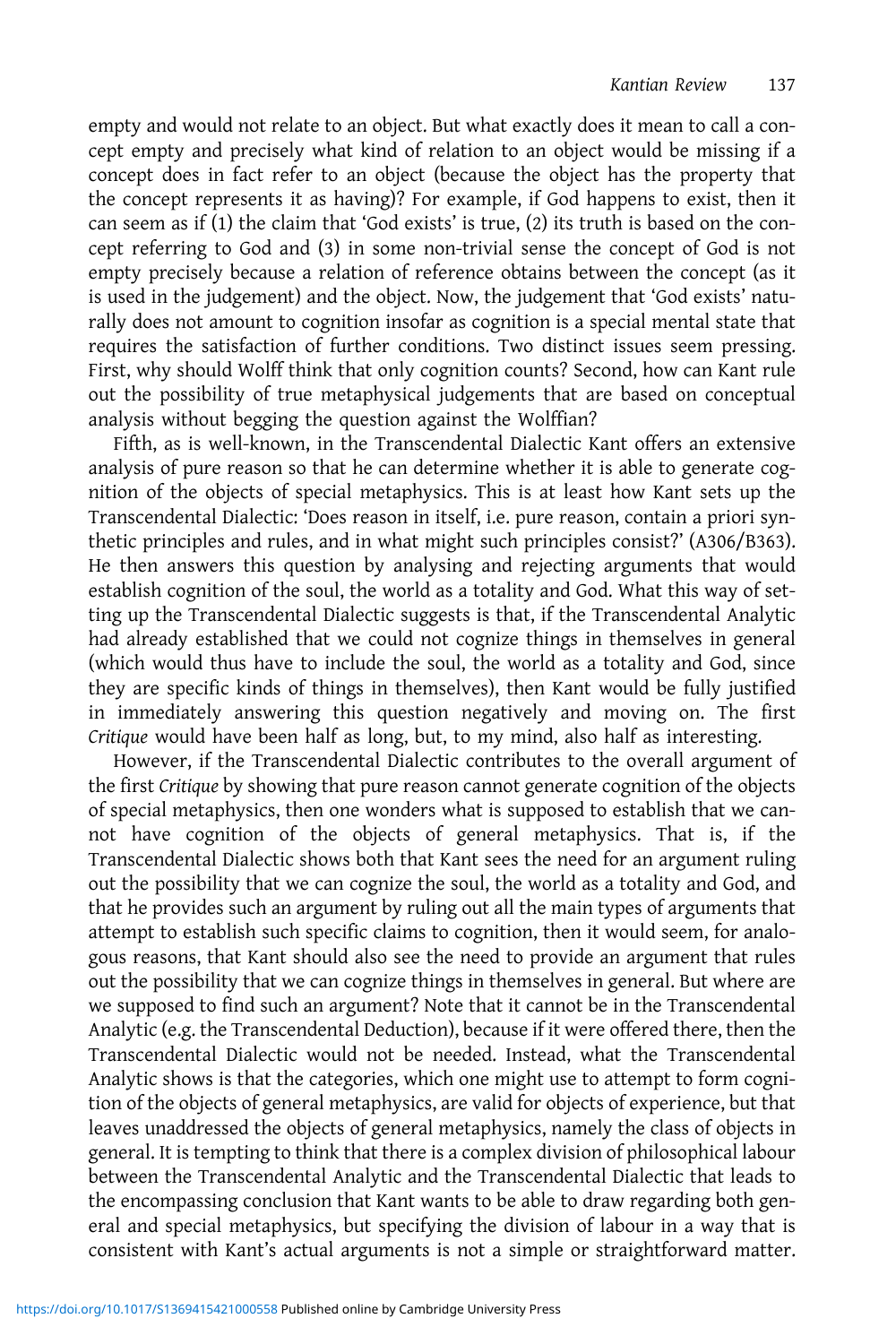empty and would not relate to an object. But what exactly does it mean to call a concept empty and precisely what kind of relation to an object would be missing if a concept does in fact refer to an object (because the object has the property that the concept represents it as having)? For example, if God happens to exist, then it can seem as if (1) the claim that 'God exists' is true, (2) its truth is based on the concept referring to God and (3) in some non-trivial sense the concept of God is not empty precisely because a relation of reference obtains between the concept (as it is used in the judgement) and the object. Now, the judgement that 'God exists' naturally does not amount to cognition insofar as cognition is a special mental state that requires the satisfaction of further conditions. Two distinct issues seem pressing. First, why should Wolff think that only cognition counts? Second, how can Kant rule out the possibility of true metaphysical judgements that are based on conceptual analysis without begging the question against the Wolffian?

Fifth, as is well-known, in the Transcendental Dialectic Kant offers an extensive analysis of pure reason so that he can determine whether it is able to generate cognition of the objects of special metaphysics. This is at least how Kant sets up the Transcendental Dialectic: 'Does reason in itself, i.e. pure reason, contain a priori synthetic principles and rules, and in what might such principles consist?' (A306/B363). He then answers this question by analysing and rejecting arguments that would establish cognition of the soul, the world as a totality and God. What this way of setting up the Transcendental Dialectic suggests is that, if the Transcendental Analytic had already established that we could not cognize things in themselves in general (which would thus have to include the soul, the world as a totality and God, since they are specific kinds of things in themselves), then Kant would be fully justified in immediately answering this question negatively and moving on. The first Critique would have been half as long, but, to my mind, also half as interesting.

However, if the Transcendental Dialectic contributes to the overall argument of the first Critique by showing that pure reason cannot generate cognition of the objects of special metaphysics, then one wonders what is supposed to establish that we cannot have cognition of the objects of general metaphysics. That is, if the Transcendental Dialectic shows both that Kant sees the need for an argument ruling out the possibility that we can cognize the soul, the world as a totality and God, and that he provides such an argument by ruling out all the main types of arguments that attempt to establish such specific claims to cognition, then it would seem, for analogous reasons, that Kant should also see the need to provide an argument that rules out the possibility that we can cognize things in themselves in general. But where are we supposed to find such an argument? Note that it cannot be in the Transcendental Analytic (e.g. the Transcendental Deduction), because if it were offered there, then the Transcendental Dialectic would not be needed. Instead, what the Transcendental Analytic shows is that the categories, which one might use to attempt to form cognition of the objects of general metaphysics, are valid for objects of experience, but that leaves unaddressed the objects of general metaphysics, namely the class of objects in general. It is tempting to think that there is a complex division of philosophical labour between the Transcendental Analytic and the Transcendental Dialectic that leads to the encompassing conclusion that Kant wants to be able to draw regarding both general and special metaphysics, but specifying the division of labour in a way that is consistent with Kant's actual arguments is not a simple or straightforward matter.